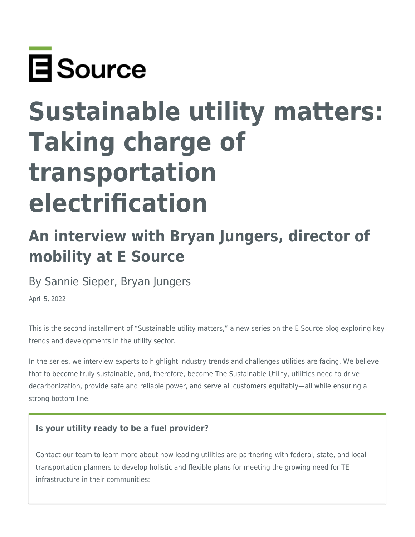

# **Sustainable utility matters: Taking charge of transportation electrification**

# **An interview with Bryan Jungers, director of mobility at E Source**

By Sannie Sieper, Bryan Jungers

April 5, 2022

This is the second installment of "Sustainable utility matters," a new series on the E Source blog exploring key trends and developments in the utility sector.

In the series, we interview experts to highlight industry trends and challenges utilities are facing. We believe that to become truly sustainable, and, therefore, become The Sustainable Utility, utilities need to drive decarbonization, provide safe and reliable power, and serve all customers equitably—all while ensuring a strong bottom line.

#### **Is your utility ready to be a fuel provider?**

Contact our team to learn more about how leading utilities are partnering with federal, state, and local transportation planners to develop holistic and flexible plans for meeting the growing need for TE infrastructure in their communities: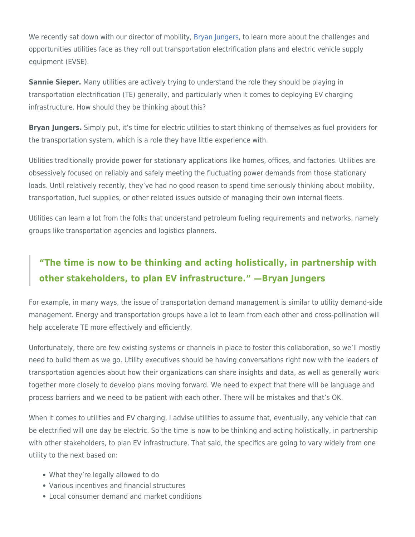We recently sat down with our director of mobility, [Bryan Jungers](https://www.esource.com/authors/bryan-jungers), to learn more about the challenges and opportunities utilities face as they roll out transportation electrification plans and electric vehicle supply equipment (EVSE).

**Sannie Sieper.** Many utilities are actively trying to understand the role they should be playing in transportation electrification (TE) generally, and particularly when it comes to deploying EV charging infrastructure. How should they be thinking about this?

**Bryan Jungers.** Simply put, it's time for electric utilities to start thinking of themselves as fuel providers for the transportation system, which is a role they have little experience with.

Utilities traditionally provide power for stationary applications like homes, offices, and factories. Utilities are obsessively focused on reliably and safely meeting the fluctuating power demands from those stationary loads. Until relatively recently, they've had no good reason to spend time seriously thinking about mobility, transportation, fuel supplies, or other related issues outside of managing their own internal fleets.

Utilities can learn a lot from the folks that understand petroleum fueling requirements and networks, namely groups like transportation agencies and logistics planners.

### **"The time is now to be thinking and acting holistically, in partnership with other stakeholders, to plan EV infrastructure." —Bryan Jungers**

For example, in many ways, the issue of transportation demand management is similar to utility demand-side management. Energy and transportation groups have a lot to learn from each other and cross-pollination will help accelerate TE more effectively and efficiently.

Unfortunately, there are few existing systems or channels in place to foster this collaboration, so we'll mostly need to build them as we go. Utility executives should be having conversations right now with the leaders of transportation agencies about how their organizations can share insights and data, as well as generally work together more closely to develop plans moving forward. We need to expect that there will be language and process barriers and we need to be patient with each other. There will be mistakes and that's OK.

When it comes to utilities and EV charging, I advise utilities to assume that, eventually, any vehicle that can be electrified will one day be electric. So the time is now to be thinking and acting holistically, in partnership with other stakeholders, to plan EV infrastructure. That said, the specifics are going to vary widely from one utility to the next based on:

- What they're legally allowed to do
- Various incentives and financial structures
- Local consumer demand and market conditions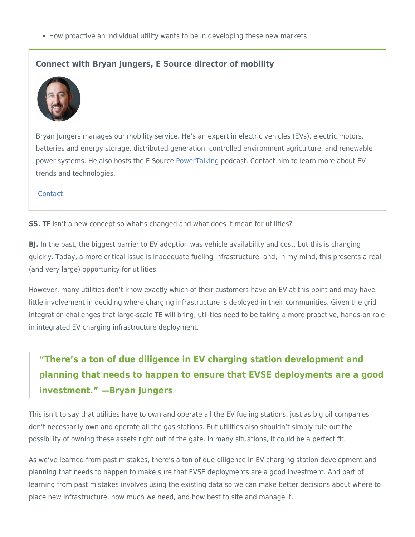• How proactive an individual utility wants to be in developing these new markets

#### **Connect with Bryan Jungers, E Source director of mobility**



Bryan Jungers manages our mobility service. He's an expert in electric vehicles (EVs), electric motors, batteries and energy storage, distributed generation, controlled environment agriculture, and renewable power systems. He also hosts the E Source [PowerTalking](https://www.esource.com/PowerTalking-podcast) podcast. Contact him to learn more about EV trends and technologies.

#### **Contact**

**SS.** TE isn't a new concept so what's changed and what does it mean for utilities?

**BJ.** In the past, the biggest barrier to EV adoption was vehicle availability and cost, but this is changing quickly. Today, a more critical issue is inadequate fueling infrastructure, and, in my mind, this presents a real (and very large) opportunity for utilities.

However, many utilities don't know exactly which of their customers have an EV at this point and may have little involvement in deciding where charging infrastructure is deployed in their communities. Given the grid integration challenges that large-scale TE will bring, utilities need to be taking a more proactive, hands-on role in integrated EV charging infrastructure deployment.

# **"There's a ton of due diligence in EV charging station development and planning that needs to happen to ensure that EVSE deployments are a good investment." —Bryan Jungers**

This isn't to say that utilities have to own and operate all the EV fueling stations, just as big oil companies don't necessarily own and operate all the gas stations. But utilities also shouldn't simply rule out the possibility of owning these assets right out of the gate. In many situations, it could be a perfect fit.

As we've learned from past mistakes, there's a ton of due diligence in EV charging station development and planning that needs to happen to make sure that EVSE deployments are a good investment. And part of learning from past mistakes involves using the existing data so we can make better decisions about where to place new infrastructure, how much we need, and how best to site and manage it.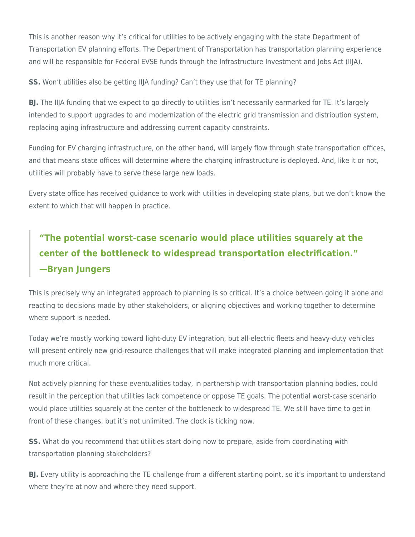This is another reason why it's critical for utilities to be actively engaging with the state Department of Transportation EV planning efforts. The Department of Transportation has transportation planning experience and will be responsible for Federal EVSE funds through the Infrastructure Investment and Jobs Act (IIJA).

**SS.** Won't utilities also be getting IIJA funding? Can't they use that for TE planning?

**BJ.** The IIJA funding that we expect to go directly to utilities isn't necessarily earmarked for TE. It's largely intended to support upgrades to and modernization of the electric grid transmission and distribution system, replacing aging infrastructure and addressing current capacity constraints.

Funding for EV charging infrastructure, on the other hand, will largely flow through state transportation offices, and that means state offices will determine where the charging infrastructure is deployed. And, like it or not, utilities will probably have to serve these large new loads.

Every state office has received guidance to work with utilities in developing state plans, but we don't know the extent to which that will happen in practice.

# **"The potential worst-case scenario would place utilities squarely at the center of the bottleneck to widespread transportation electrification." —Bryan Jungers**

This is precisely why an integrated approach to planning is so critical. It's a choice between going it alone and reacting to decisions made by other stakeholders, or aligning objectives and working together to determine where support is needed.

Today we're mostly working toward light-duty EV integration, but all-electric fleets and heavy-duty vehicles will present entirely new grid-resource challenges that will make integrated planning and implementation that much more critical.

Not actively planning for these eventualities today, in partnership with transportation planning bodies, could result in the perception that utilities lack competence or oppose TE goals. The potential worst-case scenario would place utilities squarely at the center of the bottleneck to widespread TE. We still have time to get in front of these changes, but it's not unlimited. The clock is ticking now.

**SS.** What do you recommend that utilities start doing now to prepare, aside from coordinating with transportation planning stakeholders?

**BJ.** Every utility is approaching the TE challenge from a different starting point, so it's important to understand where they're at now and where they need support.